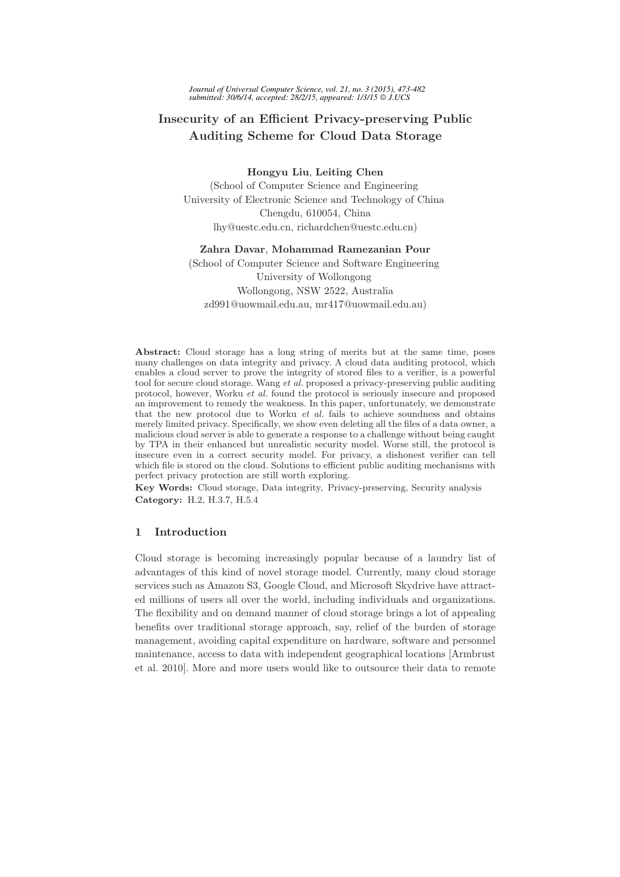*Journal of Universal Computer Science, vol. 21, no. 3 (2015), 473-482 submitted: 30/6/14, accepted: 28/2/15, appeared: 1/3/15 J.UCS*

# Insecurity of an Efficient Privacy-preserving Public Auditing Scheme for Cloud Data Storage

Hongyu Liu, Leiting Chen

(School of Computer Science and Engineering University of Electronic Science and Technology of China Chengdu, 610054, China lhy@uestc.edu.cn, richardchen@uestc.edu.cn)

#### Zahra Davar, Mohammad Ramezanian Pour

(School of Computer Science and Software Engineering University of Wollongong Wollongong, NSW 2522, Australia zd991@uowmail.edu.au, mr417@uowmail.edu.au)

Abstract: Cloud storage has a long string of merits but at the same time, poses many challenges on data integrity and privacy. A cloud data auditing protocol, which enables a cloud server to prove the integrity of stored files to a verifier, is a powerful tool for secure cloud storage. Wang et al. proposed a privacy-preserving public auditing protocol, however, Worku et al. found the protocol is seriously insecure and proposed an improvement to remedy the weakness. In this paper, unfortunately, we demonstrate that the new protocol due to Worku et al. fails to achieve soundness and obtains merely limited privacy. Specifically, we show even deleting all the files of a data owner, a malicious cloud server is able to generate a response to a challenge without being caught by TPA in their enhanced but unrealistic security model. Worse still, the protocol is insecure even in a correct security model. For privacy, a dishonest verifier can tell which file is stored on the cloud. Solutions to efficient public auditing mechanisms with perfect privacy protection are still worth exploring.

Key Words: Cloud storage, Data integrity, Privacy-preserving, Security analysis Category: H.2, H.3.7, H.5.4

# 1 Introduction

Cloud storage is becoming increasingly popular because of a laundry list of advantages of this kind of novel storage model. Currently, many cloud storage services such as Amazon S3, Google Cloud, and Microsoft Skydrive have attracted millions of users all over the world, including individuals and organizations. The flexibility and on demand manner of cloud storage brings a lot of appealing benefits over traditional storage approach, say, relief of the burden of storage management, avoiding capital expenditure on hardware, software and personnel maintenance, access to data with independent geographical locations [Armbrust et al. 2010]. More and more users would like to outsource their data to remote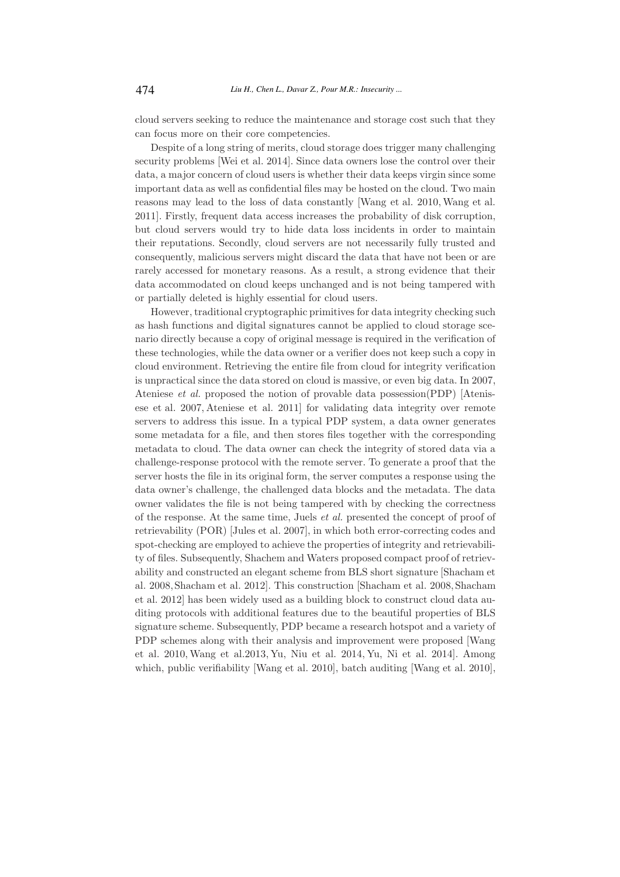cloud servers seeking to reduce the maintenance and storage cost such that they can focus more on their core competencies.

Despite of a long string of merits, cloud storage does trigger many challenging security problems [Wei et al. 2014]. Since data owners lose the control over their data, a major concern of cloud users is whether their data keeps virgin since some important data as well as confidential files may be hosted on the cloud. Two main reasons may lead to the loss of data constantly [Wang et al. 2010,Wang et al. 2011]. Firstly, frequent data access increases the probability of disk corruption, but cloud servers would try to hide data loss incidents in order to maintain their reputations. Secondly, cloud servers are not necessarily fully trusted and consequently, malicious servers might discard the data that have not been or are rarely accessed for monetary reasons. As a result, a strong evidence that their data accommodated on cloud keeps unchanged and is not being tampered with or partially deleted is highly essential for cloud users.

However, traditional cryptographic primitives for data integrity checking such as hash functions and digital signatures cannot be applied to cloud storage scenario directly because a copy of original message is required in the verification of these technologies, while the data owner or a verifier does not keep such a copy in cloud environment. Retrieving the entire file from cloud for integrity verification is unpractical since the data stored on cloud is massive, or even big data. In 2007, Ateniese et al. proposed the notion of provable data possession(PDP) [Atenisese et al. 2007, Ateniese et al. 2011] for validating data integrity over remote servers to address this issue. In a typical PDP system, a data owner generates some metadata for a file, and then stores files together with the corresponding metadata to cloud. The data owner can check the integrity of stored data via a challenge-response protocol with the remote server. To generate a proof that the server hosts the file in its original form, the server computes a response using the data owner's challenge, the challenged data blocks and the metadata. The data owner validates the file is not being tampered with by checking the correctness of the response. At the same time, Juels et al. presented the concept of proof of retrievability (POR) [Jules et al. 2007], in which both error-correcting codes and spot-checking are employed to achieve the properties of integrity and retrievability of files. Subsequently, Shachem and Waters proposed compact proof of retrievability and constructed an elegant scheme from BLS short signature [Shacham et al. 2008, Shacham et al. 2012]. This construction [Shacham et al. 2008, Shacham et al. 2012] has been widely used as a building block to construct cloud data auditing protocols with additional features due to the beautiful properties of BLS signature scheme. Subsequently, PDP became a research hotspot and a variety of PDP schemes along with their analysis and improvement were proposed [Wang et al. 2010, Wang et al.2013, Yu, Niu et al. 2014, Yu, Ni et al. 2014]. Among which, public verifiability [Wang et al. 2010], batch auditing [Wang et al. 2010],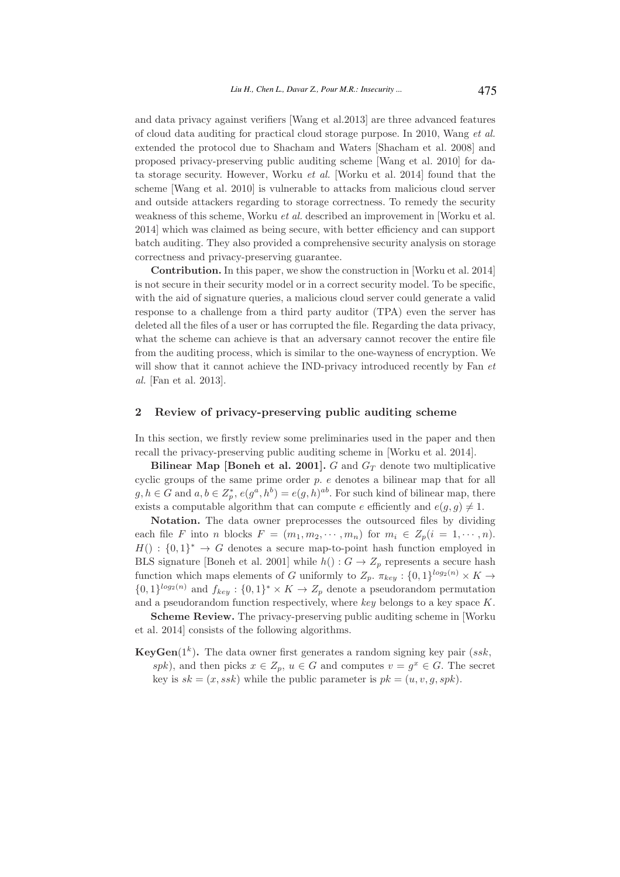and data privacy against verifiers [Wang et al.2013] are three advanced features of cloud data auditing for practical cloud storage purpose. In 2010, Wang et al. extended the protocol due to Shacham and Waters [Shacham et al. 2008] and proposed privacy-preserving public auditing scheme [Wang et al. 2010] for data storage security. However, Worku et al. [Worku et al. 2014] found that the scheme [Wang et al. 2010] is vulnerable to attacks from malicious cloud server and outside attackers regarding to storage correctness. To remedy the security weakness of this scheme, Worku et al. described an improvement in [Worku et al. 2014] which was claimed as being secure, with better efficiency and can support batch auditing. They also provided a comprehensive security analysis on storage correctness and privacy-preserving guarantee.

Contribution. In this paper, we show the construction in [Worku et al. 2014] is not secure in their security model or in a correct security model. To be specific, with the aid of signature queries, a malicious cloud server could generate a valid response to a challenge from a third party auditor (TPA) even the server has deleted all the files of a user or has corrupted the file. Regarding the data privacy, what the scheme can achieve is that an adversary cannot recover the entire file from the auditing process, which is similar to the one-wayness of encryption. We will show that it cannot achieve the IND-privacy introduced recently by Fan  $et$ al. [Fan et al. 2013].

## 2 Review of privacy-preserving public auditing scheme

In this section, we firstly review some preliminaries used in the paper and then recall the privacy-preserving public auditing scheme in [Worku et al. 2014].

Bilinear Map [Boneh et al. 2001].  $G$  and  $G_T$  denote two multiplicative cyclic groups of the same prime order p. e denotes a bilinear map that for all  $g, h \in G$  and  $a, b \in Z_p^*, e(g^a, h^b) = e(g, h)^{ab}$ . For such kind of bilinear map, there exists a computable algorithm that can compute e efficiently and  $e(g, g) \neq 1$ .

Notation. The data owner preprocesses the outsourced files by dividing each file F into n blocks  $F = (m_1, m_2, \cdots, m_n)$  for  $m_i \in Z_p(i = 1, \cdots, n)$ .  $H() : \{0,1\}^* \rightarrow G$  denotes a secure map-to-point hash function employed in BLS signature [Boneh et al. 2001] while  $h() : G \rightarrow Z_p$  represents a secure hash function which maps elements of G uniformly to  $Z_p$ .  $\pi_{key}$ :  $\{0,1\}^{log_2(n)} \times K \rightarrow$  $\{0,1\}^{log_2(n)}$  and  $f_{key}: \{0,1\}^* \times K \to Z_p$  denote a pseudorandom permutation and a pseudorandom function respectively, where key belongs to a key space K.

Scheme Review. The privacy-preserving public auditing scheme in [Worku et al. 2014] consists of the following algorithms.

**KeyGen**( $1<sup>k</sup>$ ). The data owner first generates a random signing key pair ( $ssk$ , spk), and then picks  $x \in Z_p$ ,  $u \in G$  and computes  $v = g^x \in G$ . The secret key is  $sk = (x, ssk)$  while the public parameter is  $pk = (u, v, q, spk)$ .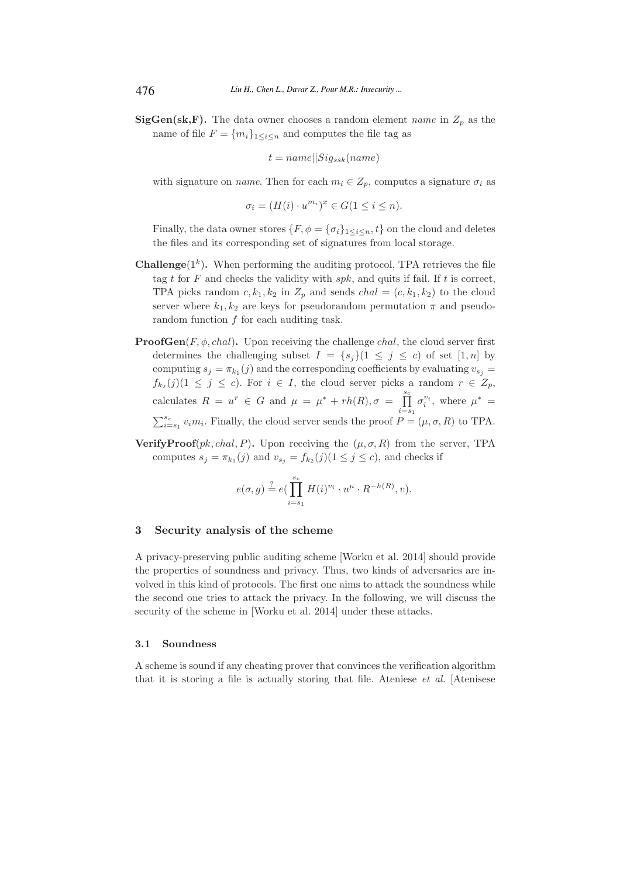**SigGen(sk,F).** The data owner chooses a random element *name* in  $Z_p$  as the name of file  $F = \{m_i\}_{1 \leq i \leq n}$  and computes the file tag as

$$
t = name||Sig_{ssk}(name)
$$

with signature on *name*. Then for each  $m_i \in Z_p$ , computes a signature  $\sigma_i$  as

$$
\sigma_i = (H(i) \cdot u^{m_i})^x \in G(1 \le i \le n).
$$

Finally, the data owner stores  $\{F, \phi = \{\sigma_i\}_{1 \leq i \leq n}, t\}$  on the cloud and deletes the files and its corresponding set of signatures from local storage.

- **Challenge** $(1<sup>k</sup>)$ . When performing the auditing protocol, TPA retrieves the file tag t for  $F$  and checks the validity with  $spk$ , and quits if fail. If  $t$  is correct, TPA picks random  $c, k_1, k_2$  in  $Z_p$  and sends  $chal = (c, k_1, k_2)$  to the cloud server where  $k_1, k_2$  are keys for pseudorandom permutation  $\pi$  and pseudorandom function  $f$  for each auditing task.
- **ProofGen** $(F, \phi, chal)$ . Upon receiving the challenge *chal*, the cloud server first determines the challenging subset  $I = \{s_i\}$  ( $1 \leq j \leq c$ ) of set [1, n] by computing  $s_j = \pi_{k_1}(j)$  and the corresponding coefficients by evaluating  $v_{s_j} =$  $f_{k_2}(j)(1 \leq j \leq c)$ . For  $i \in I$ , the cloud server picks a random  $r \in Z_p$ , calculates  $R = u^r \in G$  and  $\mu = \mu^* + rh(R), \sigma = \prod_{i=s_1}^{s_c}$  $\sigma_i^{v_i}$ , where  $\mu^* =$  $\sum_{i=s_1}^{s_c} v_i m_i$ . Finally, the cloud server sends the proof  $P = (\mu, \sigma, R)$  to TPA.
- **VerifyProof**(*pk, chal, P*). Upon receiving the ( $\mu$ ,  $\sigma$ , R) from the server, TPA computes  $s_j = \pi_{k_1}(j)$  and  $v_{s_j} = f_{k_2}(j)$  ( $1 \leq j \leq c$ ), and checks if

$$
e(\sigma, g) \stackrel{?}{=} e\left(\prod_{i=s_1}^{s_c} H(i)^{v_i} \cdot u^{\mu} \cdot R^{-h(R)}, v\right).
$$

## 3 Security analysis of the scheme

A privacy-preserving public auditing scheme [Worku et al. 2014] should provide the properties of soundness and privacy. Thus, two kinds of adversaries are involved in this kind of protocols. The first one aims to attack the soundness while the second one tries to attack the privacy. In the following, we will discuss the security of the scheme in [Worku et al. 2014] under these attacks.

#### 3.1 Soundness

A scheme is sound if any cheating prover that convinces the verification algorithm that it is storing a file is actually storing that file. Ateniese et al. [Atenisese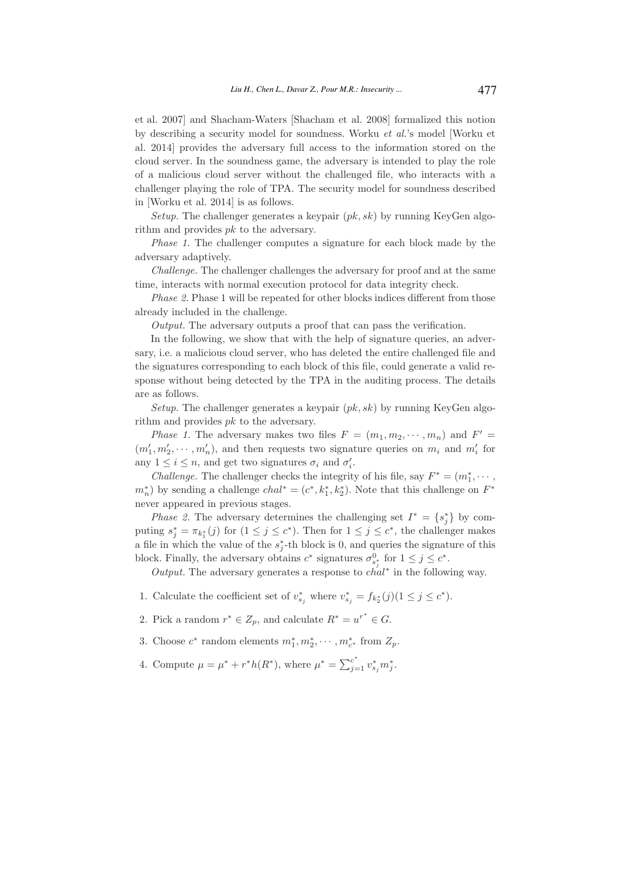et al. 2007] and Shacham-Waters [Shacham et al. 2008] formalized this notion by describing a security model for soundness. Worku et al.'s model [Worku et al. 2014] provides the adversary full access to the information stored on the cloud server. In the soundness game, the adversary is intended to play the role of a malicious cloud server without the challenged file, who interacts with a challenger playing the role of TPA. The security model for soundness described in [Worku et al. 2014] is as follows.

Setup. The challenger generates a keypair  $(pk, sk)$  by running KeyGen algorithm and provides pk to the adversary.

Phase 1. The challenger computes a signature for each block made by the adversary adaptively.

Challenge. The challenger challenges the adversary for proof and at the same time, interacts with normal execution protocol for data integrity check.

Phase 2. Phase 1 will be repeated for other blocks indices different from those already included in the challenge.

Output. The adversary outputs a proof that can pass the verification.

In the following, we show that with the help of signature queries, an adversary, i.e. a malicious cloud server, who has deleted the entire challenged file and the signatures corresponding to each block of this file, could generate a valid response without being detected by the TPA in the auditing process. The details are as follows.

Setup. The challenger generates a keypair  $(pk, sk)$  by running KeyGen algorithm and provides pk to the adversary.

*Phase 1.* The adversary makes two files  $F = (m_1, m_2, \dots, m_n)$  and  $F' =$  $(m'_1, m'_2, \dots, m'_n)$ , and then requests two signature queries on  $m_i$  and  $m'_i$  for any  $1 \leq i \leq n$ , and get two signatures  $\sigma_i$  and  $\sigma'_i$ .

*Challenge.* The challenger checks the integrity of his file, say  $F^* = (m_1^*, \cdots, m_n^*)$  $m_n^*$ ) by sending a challenge  $chal^* = (c^*, k_1^*, k_2^*)$ . Note that this challenge on  $F^*$ never appeared in previous stages.

*Phase 2.* The adversary determines the challenging set  $I^* = \{s_j^*\}$  by computing  $s_j^* = \pi_{k_1^*}(j)$  for  $(1 \leq j \leq c^*)$ . Then for  $1 \leq j \leq c^*$ , the challenger makes a file in which the value of the  $s_j^*$ -th block is 0, and queries the signature of this block. Finally, the adversary obtains  $c^*$  signatures  $\sigma_{s_i^*}^0$  for  $1 \leq j \leq c^*$ .

Output. The adversary generates a response to  $\overline{chal}^*$  in the following way.

- 1. Calculate the coefficient set of  $v_{s_j}^*$  where  $v_{s_j}^* = f_{k_2^*}(j)$  ( $1 \leq j \leq c^*$ ).
- 2. Pick a random  $r^* \in Z_p$ , and calculate  $R^* = u^{r^*} \in G$ .
- 3. Choose  $c^*$  random elements  $m_1^*, m_2^*, \cdots, m_{c^*}^*$  from  $Z_p$ .
- 4. Compute  $\mu = \mu^* + r^*h(R^*)$ , where  $\mu^* = \sum_{j=1}^{c^*} v^*_{sj} m^*_j$ .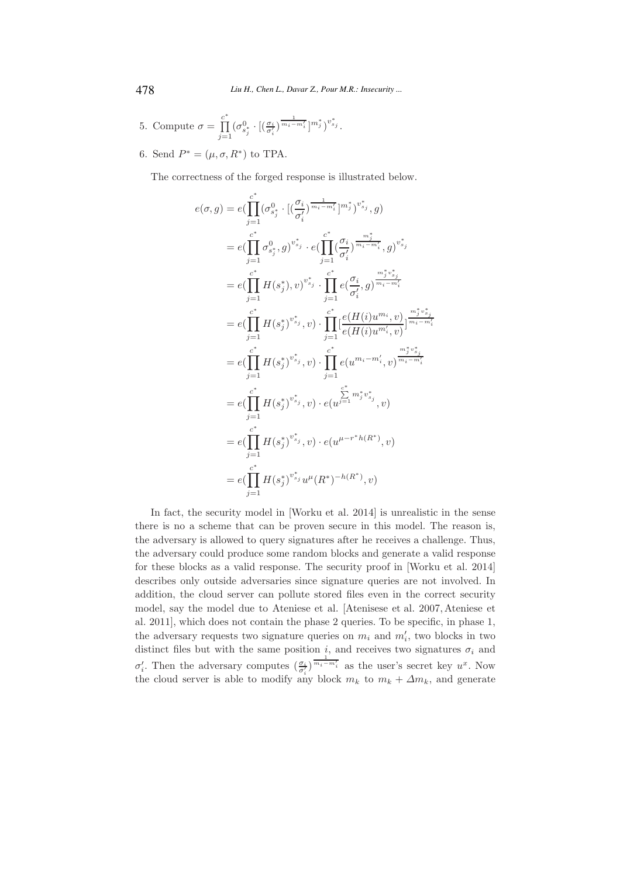5. Compute 
$$
\sigma = \prod_{j=1}^{c^*} (\sigma_{s_j^*}^0 \cdot [(\frac{\sigma_i}{\sigma_i'})^{\frac{1}{m_i - m_i'}}]^{m_j^*})^{v_{s_j}^*}
$$
.

6. Send  $P^* = (\mu, \sigma, R^*)$  to TPA.

The correctness of the forged response is illustrated below.

$$
e(\sigma, g) = e(\prod_{j=1}^{c^*} (\sigma_{s_j^*}^0 \cdot [(\frac{\sigma_i}{\sigma'_i})^{\frac{1}{m_i - m'_i}}]^m_j^*)^{v_{s_j}^*}, g)
$$
  
\n
$$
= e(\prod_{j=1}^{c^*} \sigma_{s_j^*}^0, g)^{v_{s_j}^*} \cdot e(\prod_{j=1}^{c^*} (\frac{\sigma_i}{\sigma'_i})^{\frac{m_j^*}{m_i - m'_i}}, g)^{v_{s_j}^*}
$$
  
\n
$$
= e(\prod_{j=1}^{c^*} H(s_j^*), v)^{v_{s_j}^*} \cdot \prod_{j=1}^{c^*} e(\frac{\sigma_i}{\sigma'_i}, g)^{\frac{m_j^* v_{s_j}^*}{m_i - m'_i}}
$$
  
\n
$$
= e(\prod_{j=1}^{c^*} H(s_j^*)^{v_{s_j}^*}, v) \cdot \prod_{j=1}^{c^*} [\frac{e(H(i)u^{m_i}, v)}{e(H(i)u^{m'_i}, v)}]^{\frac{m_j^* v_{s_j}^*}{m_i - m'_i}}
$$
  
\n
$$
= e(\prod_{j=1}^{c^*} H(s_j^*)^{v_{s_j}^*}, v) \cdot \prod_{j=1}^{c^*} e(u^{m_i - m'_i}, v)^{\frac{m_j^* v_{s_j}^*}{m_i - m'_i}}
$$
  
\n
$$
= e(\prod_{j=1}^{c^*} H(s_j^*)^{v_{s_j}^*}, v) \cdot e(u^{j=1}^{c^*} m_j^* v_{s_j}^*, v)
$$
  
\n
$$
= e(\prod_{j=1}^{c^*} H(s_j^*)^{v_{s_j}^*} u^{\mu}(R^*)^{-h(R^*)}, v)
$$
  
\n
$$
= e(\prod_{j=1}^{c^*} H(s_j^*)^{v_{s_j}^*} u^{\mu}(R^*)^{-h(R^*)}, v)
$$

In fact, the security model in [Worku et al. 2014] is unrealistic in the sense there is no a scheme that can be proven secure in this model. The reason is, the adversary is allowed to query signatures after he receives a challenge. Thus, the adversary could produce some random blocks and generate a valid response for these blocks as a valid response. The security proof in [Worku et al. 2014] describes only outside adversaries since signature queries are not involved. In addition, the cloud server can pollute stored files even in the correct security model, say the model due to Ateniese et al. [Atenisese et al. 2007, Ateniese et al. 2011], which does not contain the phase 2 queries. To be specific, in phase 1, the adversary requests two signature queries on  $m_i$  and  $m'_i$ , two blocks in two distinct files but with the same position  $i$ , and receives two signatures  $\sigma_i$  and  $\sigma'_i$ . Then the adversary computes  $(\frac{\sigma_i}{\sigma'_i})^{\overline{m_i-m'_i}}$  as the user's secret key  $u^x$ . Now the cloud server is able to modify any block  $m_k$  to  $m_k + \Delta m_k$ , and generate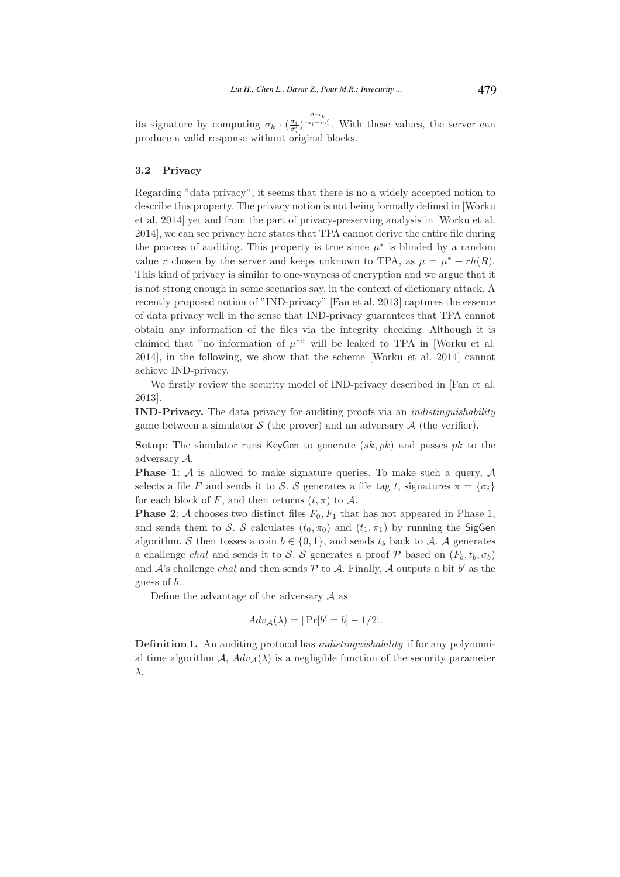its signature by computing  $\sigma_k \cdot (\frac{\sigma_i}{\sigma'_i})^{\frac{\Delta m_k}{m_i - m'_i}}$ . With these values, the server can produce a valid response without original blocks.

#### 3.2 Privacy

Regarding "data privacy", it seems that there is no a widely accepted notion to describe this property. The privacy notion is not being formally defined in [Worku et al. 2014] yet and from the part of privacy-preserving analysis in [Worku et al. 2014], we can see privacy here states that TPA cannot derive the entire file during the process of auditing. This property is true since  $\mu^*$  is blinded by a random value r chosen by the server and keeps unknown to TPA, as  $\mu = \mu^* + rh(R)$ . This kind of privacy is similar to one-wayness of encryption and we argue that it is not strong enough in some scenarios say, in the context of dictionary attack. A recently proposed notion of "IND-privacy" [Fan et al. 2013] captures the essence of data privacy well in the sense that IND-privacy guarantees that TPA cannot obtain any information of the files via the integrity checking. Although it is claimed that "no information of  $\mu^*$ " will be leaked to TPA in [Worku et al. 2014], in the following, we show that the scheme [Worku et al. 2014] cannot achieve IND-privacy.

We firstly review the security model of IND-privacy described in [Fan et al.] 2013].

IND-Privacy. The data privacy for auditing proofs via an indistinguishability game between a simulator  $S$  (the prover) and an adversary  $A$  (the verifier).

**Setup:** The simulator runs KeyGen to generate  $(sk, pk)$  and passes pk to the adversary A.

**Phase 1:**  $\mathcal A$  is allowed to make signature queries. To make such a query,  $\mathcal A$ selects a file F and sends it to S. S generates a file tag t, signatures  $\pi = {\sigma_i}$ for each block of F, and then returns  $(t, \pi)$  to A.

**Phase 2:** A chooses two distinct files  $F_0$ ,  $F_1$  that has not appeared in Phase 1, and sends them to S. S calculates  $(t_0, \pi_0)$  and  $(t_1, \pi_1)$  by running the SigGen algorithm. S then tosses a coin  $b \in \{0,1\}$ , and sends  $t_b$  back to A. A generates a challenge chal and sends it to S. S generates a proof P based on  $(F_b, t_b, \sigma_b)$ and  $A$ 's challenge *chal* and then sends  $P$  to  $A$ . Finally,  $A$  outputs a bit  $b'$  as the guess of b.

Define the advantage of the adversary  $\mathcal A$  as

$$
Adv_{\mathcal{A}}(\lambda) = |\Pr[b' = b] - 1/2|.
$$

Definition 1. An auditing protocol has *indistinguishability* if for any polynomial time algorithm A,  $Adv_A(\lambda)$  is a negligible function of the security parameter λ.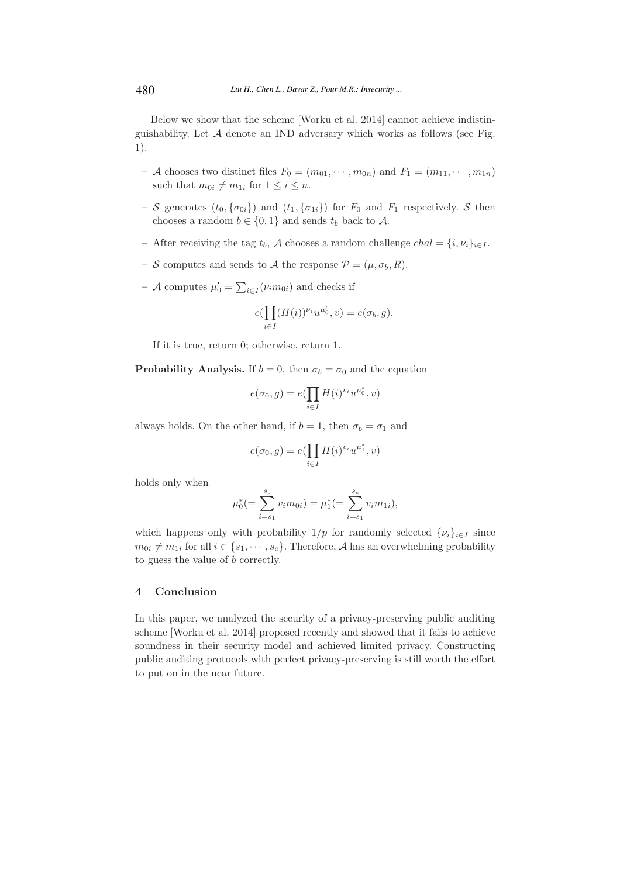Below we show that the scheme [Worku et al. 2014] cannot achieve indistinguishability. Let  $A$  denote an IND adversary which works as follows (see Fig. 1).

- A chooses two distinct files  $F_0 = (m_{01}, \dots, m_{0n})$  and  $F_1 = (m_{11}, \dots, m_{1n})$ such that  $m_{0i} \neq m_{1i}$  for  $1 \leq i \leq n$ .
- S generates  $(t_0, {\{\sigma_{0i}\}})$  and  $(t_1, {\{\sigma_{1i}\}})$  for  $F_0$  and  $F_1$  respectively. S then chooses a random  $b \in \{0,1\}$  and sends  $t_b$  back to A.
- After receiving the tag  $t_b$ , A chooses a random challenge  $chal = \{i, \nu_i\}_{i \in I}$ .
- S computes and sends to A the response  $\mathcal{P} = (\mu, \sigma_b, R)$ .
- A computes  $\mu'_0 = \sum_{i \in I} (\nu_i m_{0i})$  and checks if

$$
e(\prod_{i\in I}(H(i))^{\nu_i}u^{\mu'_0}, v)=e(\sigma_b, g).
$$

If it is true, return 0; otherwise, return 1.

**Probability Analysis.** If  $b = 0$ , then  $\sigma_b = \sigma_0$  and the equation

$$
e(\sigma_0, g) = e(\prod_{i \in I} H(i)^{v_i} u^{\mu_0^*}, v)
$$

always holds. On the other hand, if  $b = 1$ , then  $\sigma_b = \sigma_1$  and

$$
e(\sigma_0, g) = e(\prod_{i \in I} H(i)^{v_i} u^{\mu_1^*}, v)
$$

holds only when

$$
\mu_0^* (=\sum_{i=s_1}^{s_c} v_i m_{0i}) = \mu_1^* (=\sum_{i=s_1}^{s_c} v_i m_{1i}),
$$

which happens only with probability  $1/p$  for randomly selected  $\{\nu_i\}_{i\in I}$  since  $m_{0i} \neq m_{1i}$  for all  $i \in \{s_1, \dots, s_c\}$ . Therefore, A has an overwhelming probability to guess the value of b correctly.

## 4 Conclusion

In this paper, we analyzed the security of a privacy-preserving public auditing scheme [Worku et al. 2014] proposed recently and showed that it fails to achieve soundness in their security model and achieved limited privacy. Constructing public auditing protocols with perfect privacy-preserving is still worth the effort to put on in the near future.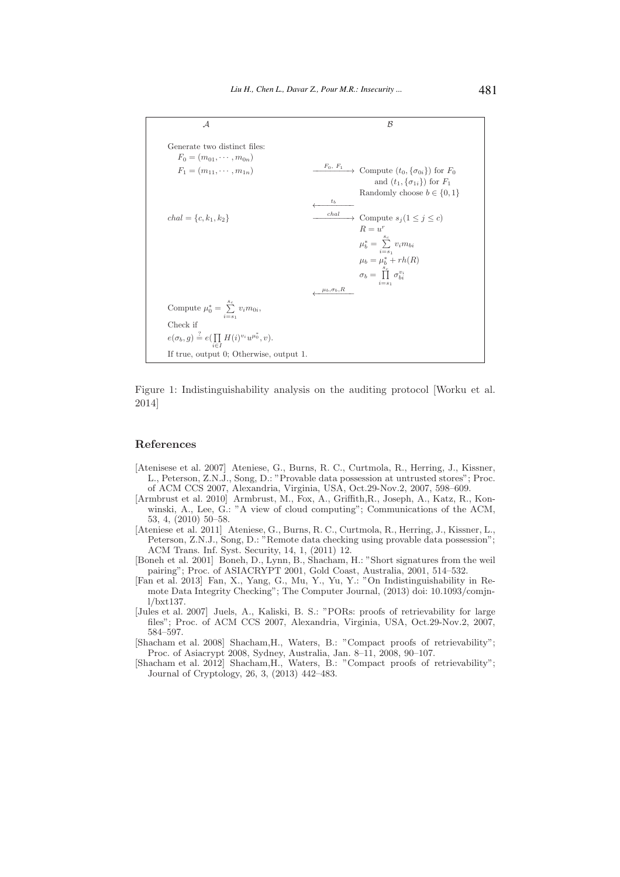

Figure 1: Indistinguishability analysis on the auditing protocol [Worku et al. 2014]

#### References

- [Atenisese et al. 2007] Ateniese, G., Burns, R. C., Curtmola, R., Herring, J., Kissner, L., Peterson, Z.N.J., Song, D.: "Provable data possession at untrusted stores"; Proc. of ACM CCS 2007, Alexandria, Virginia, USA, Oct.29-Nov.2, 2007, 598–609.
- [Armbrust et al. 2010] Armbrust, M., Fox, A., Griffith,R., Joseph, A., Katz, R., Konwinski, A., Lee, G.: "A view of cloud computing"; Communications of the ACM, 53, 4, (2010) 50–58.
- [Ateniese et al. 2011] Ateniese, G., Burns, R. C., Curtmola, R., Herring, J., Kissner, L., Peterson, Z.N.J., Song, D.: "Remote data checking using provable data possession"; ACM Trans. Inf. Syst. Security, 14, 1, (2011) 12.
- [Boneh et al. 2001] Boneh, D., Lynn, B., Shacham, H.: "Short signatures from the weil pairing"; Proc. of ASIACRYPT 2001, Gold Coast, Australia, 2001, 514–532.
- [Fan et al. 2013] Fan, X., Yang, G., Mu, Y., Yu, Y.: "On Indistinguishability in Remote Data Integrity Checking"; The Computer Journal, (2013) doi: 10.1093/comjnl/bxt137.
- [Jules et al. 2007] Juels, A., Kaliski, B. S.: "PORs: proofs of retrievability for large files"; Proc. of ACM CCS 2007, Alexandria, Virginia, USA, Oct.29-Nov.2, 2007, 584–597.
- [Shacham et al. 2008] Shacham,H., Waters, B.: "Compact proofs of retrievability"; Proc. of Asiacrypt 2008, Sydney, Australia, Jan. 8–11, 2008, 90–107.
- [Shacham et al. 2012] Shacham,H., Waters, B.: "Compact proofs of retrievability"; Journal of Cryptology, 26, 3, (2013) 442–483.